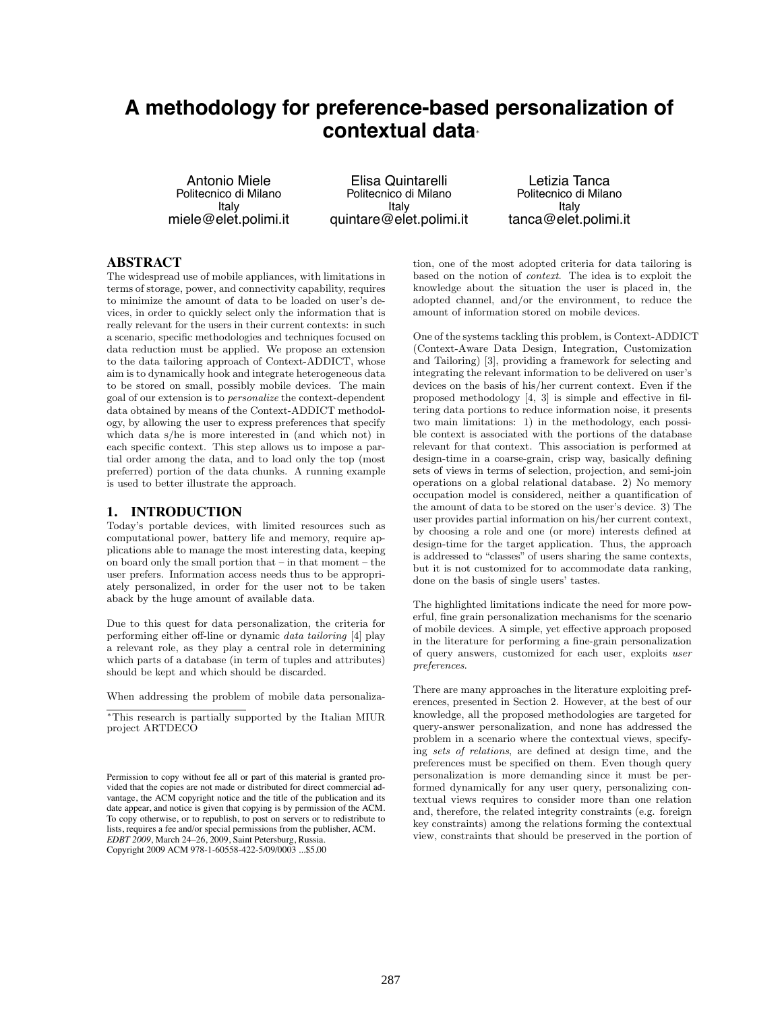# **A methodology for preference-based personalization of contextual data**<sup>∗</sup>

Antonio Miele Politecnico di Milano Italy miele@elet.polimi.it

Elisa Quintarelli Politecnico di Milano Italy quintare@elet.polimi.it

Letizia Tanca Politecnico di Milano Italy tanca@elet.polimi.it

# **ABSTRACT**

The widespread use of mobile appliances, with limitations in terms of storage, power, and connectivity capability, requires to minimize the amount of data to be loaded on user's devices, in order to quickly select only the information that is really relevant for the users in their current contexts: in such a scenario, specific methodologies and techniques focused on data reduction must be applied. We propose an extension to the data tailoring approach of Context-ADDICT, whose aim is to dynamically hook and integrate heterogeneous data to be stored on small, possibly mobile devices. The main goal of our extension is to *personalize* the context-dependent data obtained by means of the Context-ADDICT methodology, by allowing the user to express preferences that specify which data s/he is more interested in (and which not) in each specific context. This step allows us to impose a partial order among the data, and to load only the top (most preferred) portion of the data chunks. A running example is used to better illustrate the approach.

#### **1. INTRODUCTION**

Today's portable devices, with limited resources such as computational power, battery life and memory, require applications able to manage the most interesting data, keeping on board only the small portion that – in that moment – the user prefers. Information access needs thus to be appropriately personalized, in order for the user not to be taken aback by the huge amount of available data.

Due to this quest for data personalization, the criteria for performing either off-line or dynamic *data tailoring* [4] play a relevant role, as they play a central role in determining which parts of a database (in term of tuples and attributes) should be kept and which should be discarded.

When addressing the problem of mobile data personaliza-

<sup>∗</sup>This research is partially supported by the Italian MIUR project ARTDECO

Permission to copy without fee all or part of this material is granted provided that the copies are not made or distributed for direct commercial advantage, the ACM copyright notice and the title of the publication and its date appear, and notice is given that copying is by permission of the ACM. To copy otherwise, or to republish, to post on servers or to redistribute to lists, requires a fee and/or special permissions from the publisher, ACM. *EDBT 2009*, March 24–26, 2009, Saint Petersburg, Russia. Copyright 2009 ACM 978-1-60558-422-5/09/0003 ...\$5.00

tion, one of the most adopted criteria for data tailoring is based on the notion of *context*. The idea is to exploit the knowledge about the situation the user is placed in, the adopted channel, and/or the environment, to reduce the amount of information stored on mobile devices.

One of the systems tackling this problem, is Context-ADDICT (Context-Aware Data Design, Integration, Customization and Tailoring) [3], providing a framework for selecting and integrating the relevant information to be delivered on user's devices on the basis of his/her current context. Even if the proposed methodology [4, 3] is simple and effective in filtering data portions to reduce information noise, it presents two main limitations: 1) in the methodology, each possible context is associated with the portions of the database relevant for that context. This association is performed at design-time in a coarse-grain, crisp way, basically defining sets of views in terms of selection, projection, and semi-join operations on a global relational database. 2) No memory occupation model is considered, neither a quantification of the amount of data to be stored on the user's device. 3) The user provides partial information on his/her current context, by choosing a role and one (or more) interests defined at design-time for the target application. Thus, the approach is addressed to "classes" of users sharing the same contexts, but it is not customized for to accommodate data ranking, done on the basis of single users' tastes.

The highlighted limitations indicate the need for more powerful, fine grain personalization mechanisms for the scenario of mobile devices. A simple, yet effective approach proposed in the literature for performing a fine-grain personalization of query answers, customized for each user, exploits *user preferences*.

There are many approaches in the literature exploiting preferences, presented in Section 2. However, at the best of our knowledge, all the proposed methodologies are targeted for query-answer personalization, and none has addressed the problem in a scenario where the contextual views, specifying *sets of relations*, are defined at design time, and the preferences must be specified on them. Even though query personalization is more demanding since it must be performed dynamically for any user query, personalizing contextual views requires to consider more than one relation and, therefore, the related integrity constraints (e.g. foreign key constraints) among the relations forming the contextual view, constraints that should be preserved in the portion of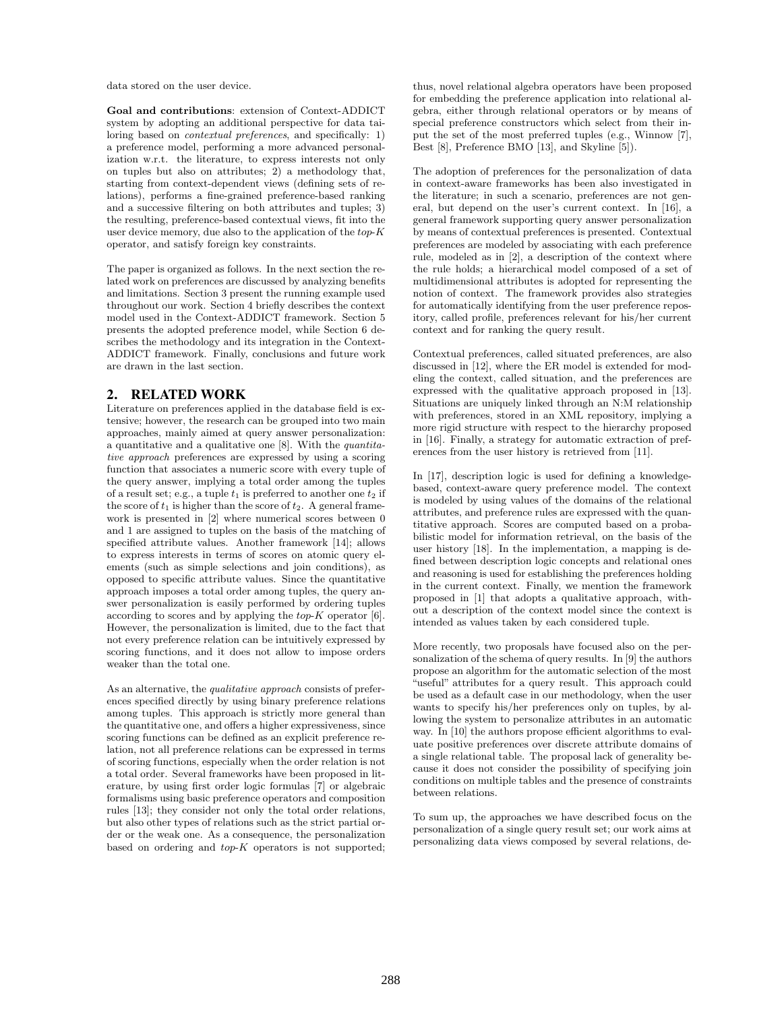data stored on the user device.

Goal and contributions: extension of Context-ADDICT system by adopting an additional perspective for data tailoring based on *contextual preferences*, and specifically: 1) a preference model, performing a more advanced personalization w.r.t. the literature, to express interests not only on tuples but also on attributes; 2) a methodology that, starting from context-dependent views (defining sets of relations), performs a fine-grained preference-based ranking and a successive filtering on both attributes and tuples; 3) the resulting, preference-based contextual views, fit into the user device memory, due also to the application of the  $top-K$ operator, and satisfy foreign key constraints.

The paper is organized as follows. In the next section the related work on preferences are discussed by analyzing benefits and limitations. Section 3 present the running example used throughout our work. Section 4 briefly describes the context model used in the Context-ADDICT framework. Section 5 presents the adopted preference model, while Section 6 describes the methodology and its integration in the Context-ADDICT framework. Finally, conclusions and future work are drawn in the last section.

# **2. RELATED WORK**

Literature on preferences applied in the database field is extensive; however, the research can be grouped into two main approaches, mainly aimed at query answer personalization: a quantitative and a qualitative one [8]. With the *quantitative approach* preferences are expressed by using a scoring function that associates a numeric score with every tuple of the query answer, implying a total order among the tuples of a result set; e.g., a tuple  $t_1$  is preferred to another one  $t_2$  if the score of  $t_1$  is higher than the score of  $t_2$ . A general framework is presented in [2] where numerical scores between 0 and 1 are assigned to tuples on the basis of the matching of specified attribute values. Another framework [14]; allows to express interests in terms of scores on atomic query elements (such as simple selections and join conditions), as opposed to specific attribute values. Since the quantitative approach imposes a total order among tuples, the query answer personalization is easily performed by ordering tuples according to scores and by applying the  $top-K$  operator  $[6]$ . However, the personalization is limited, due to the fact that not every preference relation can be intuitively expressed by scoring functions, and it does not allow to impose orders weaker than the total one.

As an alternative, the *qualitative approach* consists of preferences specified directly by using binary preference relations among tuples. This approach is strictly more general than the quantitative one, and offers a higher expressiveness, since scoring functions can be defined as an explicit preference relation, not all preference relations can be expressed in terms of scoring functions, especially when the order relation is not a total order. Several frameworks have been proposed in literature, by using first order logic formulas [7] or algebraic formalisms using basic preference operators and composition rules [13]; they consider not only the total order relations, but also other types of relations such as the strict partial order or the weak one. As a consequence, the personalization based on ordering and  $top-K$  operators is not supported; thus, novel relational algebra operators have been proposed for embedding the preference application into relational algebra, either through relational operators or by means of special preference constructors which select from their input the set of the most preferred tuples (e.g., Winnow [7], Best [8], Preference BMO [13], and Skyline [5]).

The adoption of preferences for the personalization of data in context-aware frameworks has been also investigated in the literature; in such a scenario, preferences are not general, but depend on the user's current context. In [16], a general framework supporting query answer personalization by means of contextual preferences is presented. Contextual preferences are modeled by associating with each preference rule, modeled as in [2], a description of the context where the rule holds; a hierarchical model composed of a set of multidimensional attributes is adopted for representing the notion of context. The framework provides also strategies for automatically identifying from the user preference repository, called profile, preferences relevant for his/her current context and for ranking the query result.

Contextual preferences, called situated preferences, are also discussed in [12], where the ER model is extended for modeling the context, called situation, and the preferences are expressed with the qualitative approach proposed in [13]. Situations are uniquely linked through an N:M relationship with preferences, stored in an XML repository, implying a more rigid structure with respect to the hierarchy proposed in [16]. Finally, a strategy for automatic extraction of preferences from the user history is retrieved from [11].

In [17], description logic is used for defining a knowledgebased, context-aware query preference model. The context is modeled by using values of the domains of the relational attributes, and preference rules are expressed with the quantitative approach. Scores are computed based on a probabilistic model for information retrieval, on the basis of the user history [18]. In the implementation, a mapping is defined between description logic concepts and relational ones and reasoning is used for establishing the preferences holding in the current context. Finally, we mention the framework proposed in [1] that adopts a qualitative approach, without a description of the context model since the context is intended as values taken by each considered tuple.

More recently, two proposals have focused also on the personalization of the schema of query results. In [9] the authors propose an algorithm for the automatic selection of the most "useful" attributes for a query result. This approach could be used as a default case in our methodology, when the user wants to specify his/her preferences only on tuples, by allowing the system to personalize attributes in an automatic way. In [10] the authors propose efficient algorithms to evaluate positive preferences over discrete attribute domains of a single relational table. The proposal lack of generality because it does not consider the possibility of specifying join conditions on multiple tables and the presence of constraints between relations.

To sum up, the approaches we have described focus on the personalization of a single query result set; our work aims at personalizing data views composed by several relations, de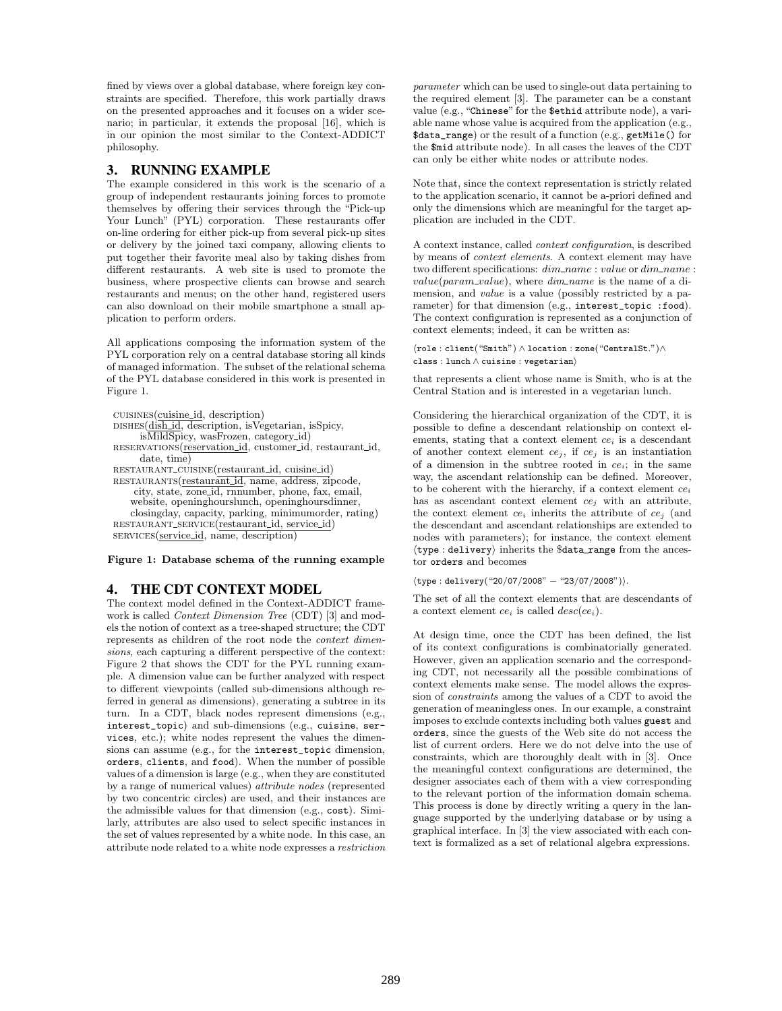fined by views over a global database, where foreign key constraints are specified. Therefore, this work partially draws on the presented approaches and it focuses on a wider scenario; in particular, it extends the proposal [16], which is in our opinion the most similar to the Context-ADDICT philosophy.

#### **3. RUNNING EXAMPLE**

The example considered in this work is the scenario of a group of independent restaurants joining forces to promote themselves by offering their services through the "Pick-up Your Lunch" (PYL) corporation. These restaurants offer on-line ordering for either pick-up from several pick-up sites or delivery by the joined taxi company, allowing clients to put together their favorite meal also by taking dishes from different restaurants. A web site is used to promote the business, where prospective clients can browse and search restaurants and menus; on the other hand, registered users can also download on their mobile smartphone a small application to perform orders.

All applications composing the information system of the PYL corporation rely on a central database storing all kinds of managed information. The subset of the relational schema of the PYL database considered in this work is presented in Figure 1.

cuisines(cuisine id, description) DISHES(dish\_id, description, isVegetarian, isSpicy, isMildSpicy, wasFrozen, category id) reservations(reservation id, customer id, restaurant id, date, time) restaurant cuisine(restaurant id, cuisine id) restaurants(restaurant id, name, address, zipcode, city, state, zone id, rnnumber, phone, fax, email, website, openinghourslunch, openinghoursdinner, closingday, capacity, parking, minimumorder, rating) restaurant service(restaurant id, service id) services(service id, name, description)

Figure 1: Database schema of the running example

# **4. THE CDT CONTEXT MODEL**

The context model defined in the Context-ADDICT framework is called *Context Dimension Tree* (CDT) [3] and models the notion of context as a tree-shaped structure; the CDT represents as children of the root node the *context dimensions*, each capturing a different perspective of the context: Figure 2 that shows the CDT for the PYL running example. A dimension value can be further analyzed with respect to different viewpoints (called sub-dimensions although referred in general as dimensions), generating a subtree in its turn. In a CDT, black nodes represent dimensions (e.g., interest\_topic) and sub-dimensions (e.g., cuisine, services, etc.); white nodes represent the values the dimensions can assume (e.g., for the interest\_topic dimension, orders, clients, and food). When the number of possible values of a dimension is large (e.g., when they are constituted by a range of numerical values) *attribute nodes* (represented by two concentric circles) are used, and their instances are the admissible values for that dimension (e.g., cost). Similarly, attributes are also used to select specific instances in the set of values represented by a white node. In this case, an attribute node related to a white node expresses a *restriction*

*parameter* which can be used to single-out data pertaining to the required element [3]. The parameter can be a constant value (e.g., "Chinese" for the \$ethid attribute node), a variable name whose value is acquired from the application (e.g., \$data\_range) or the result of a function (e.g., getMile() for the \$mid attribute node). In all cases the leaves of the CDT can only be either white nodes or attribute nodes.

Note that, since the context representation is strictly related to the application scenario, it cannot be a-priori defined and only the dimensions which are meaningful for the target application are included in the CDT.

A context instance, called *context configuration*, is described by means of *context elements*. A context element may have two different specifications:  $dim\_name : value$  or  $dim\_name$ : value(param\_value), where  $dim\_name$  is the name of a dimension, and *value* is a value (possibly restricted by a parameter) for that dimension (e.g., interest\_topic :food). The context configuration is represented as a conjunction of context elements; indeed, it can be written as:

!role : client("Smith") ∧ location : zone("CentralSt.")∧  $class: lunch \wedge cuisine : vegetation \rangle$ 

that represents a client whose name is Smith, who is at the Central Station and is interested in a vegetarian lunch.

Considering the hierarchical organization of the CDT, it is possible to define a descendant relationship on context elements, stating that a context element  $ce_i$  is a descendant of another context element  $ce_j$ , if  $ce_j$  is an instantiation of a dimension in the subtree rooted in  $ce_i$ ; in the same way, the ascendant relationship can be defined. Moreover, to be coherent with the hierarchy, if a context element  $ce_i$ has as ascendant context element  $ce_i$  with an attribute, the context element  $ce_i$  inherits the attribute of  $ce_j$  (and the descendant and ascendant relationships are extended to nodes with parameters); for instance, the context element  $\langle$ type : delivery $\rangle$  inherits the \$data\_range from the ancestor orders and becomes

#### $\langle type: delivery("20/07/2008" - "23/07/2008") \rangle.$

The set of all the context elements that are descendants of a context element  $ce_i$  is called  $desc(ce_i)$ .

At design time, once the CDT has been defined, the list of its context configurations is combinatorially generated. However, given an application scenario and the corresponding CDT, not necessarily all the possible combinations of context elements make sense. The model allows the expression of *constraints* among the values of a CDT to avoid the generation of meaningless ones. In our example, a constraint imposes to exclude contexts including both values guest and orders, since the guests of the Web site do not access the list of current orders. Here we do not delve into the use of constraints, which are thoroughly dealt with in [3]. Once the meaningful context configurations are determined, the designer associates each of them with a view corresponding to the relevant portion of the information domain schema. This process is done by directly writing a query in the language supported by the underlying database or by using a graphical interface. In [3] the view associated with each context is formalized as a set of relational algebra expressions.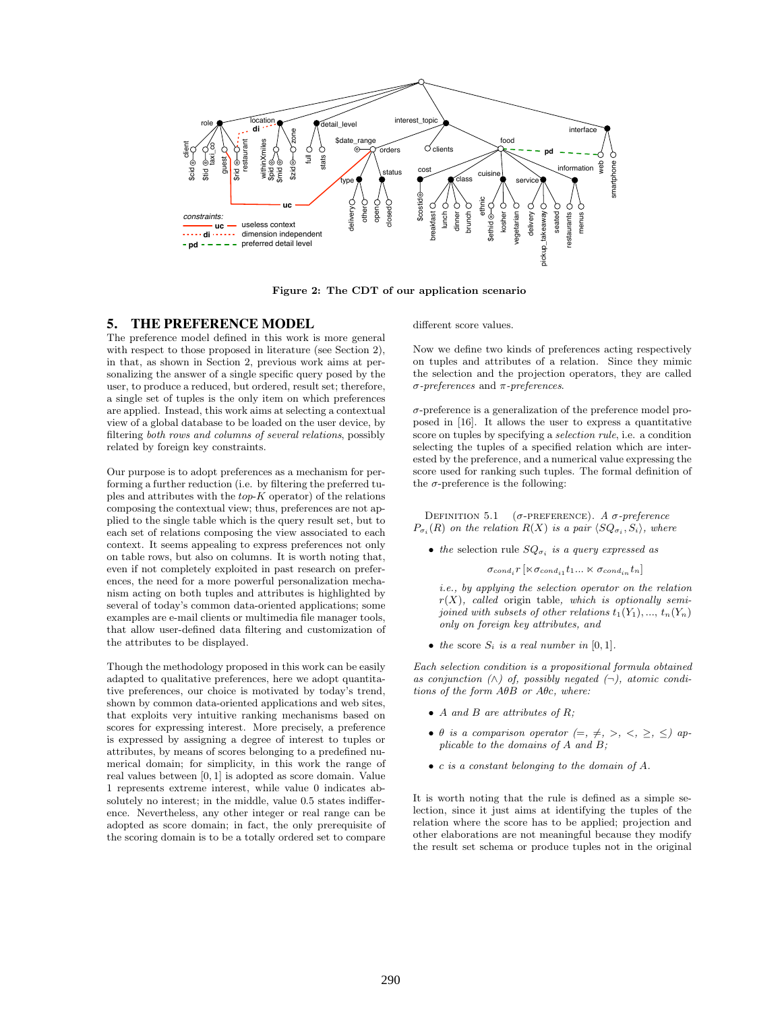

Figure 2: The CDT of our application scenario

#### **5. THE PREFERENCE MODEL**

The preference model defined in this work is more general with respect to those proposed in literature (see Section 2), in that, as shown in Section 2, previous work aims at personalizing the answer of a single specific query posed by the user, to produce a reduced, but ordered, result set; therefore, a single set of tuples is the only item on which preferences are applied. Instead, this work aims at selecting a contextual view of a global database to be loaded on the user device, by filtering *both rows and columns of several relations*, possibly related by foreign key constraints.

Our purpose is to adopt preferences as a mechanism for performing a further reduction (i.e. by filtering the preferred tuples and attributes with the  $top-K$  operator) of the relations composing the contextual view; thus, preferences are not applied to the single table which is the query result set, but to each set of relations composing the view associated to each context. It seems appealing to express preferences not only on table rows, but also on columns. It is worth noting that, even if not completely exploited in past research on preferences, the need for a more powerful personalization mechanism acting on both tuples and attributes is highlighted by several of today's common data-oriented applications; some examples are e-mail clients or multimedia file manager tools, that allow user-defined data filtering and customization of the attributes to be displayed.

Though the methodology proposed in this work can be easily adapted to qualitative preferences, here we adopt quantitative preferences, our choice is motivated by today's trend, shown by common data-oriented applications and web sites, that exploits very intuitive ranking mechanisms based on scores for expressing interest. More precisely, a preference is expressed by assigning a degree of interest to tuples or attributes, by means of scores belonging to a predefined numerical domain; for simplicity, in this work the range of real values between [0, 1] is adopted as score domain. Value 1 represents extreme interest, while value 0 indicates absolutely no interest; in the middle, value 0.5 states indifference. Nevertheless, any other integer or real range can be adopted as score domain; in fact, the only prerequisite of the scoring domain is to be a totally ordered set to compare different score values.

Now we define two kinds of preferences acting respectively on tuples and attributes of a relation. Since they mimic the selection and the projection operators, they are called σ*-preferences* and π*-preferences*.

 $\sigma$ -preference is a generalization of the preference model proposed in [16]. It allows the user to express a quantitative score on tuples by specifying a *selection rule*, i.e. a condition selecting the tuples of a specified relation which are interested by the preference, and a numerical value expressing the score used for ranking such tuples. The formal definition of the  $\sigma$ -preference is the following:

Definition 5.1 (σ-preference). *A* σ*-preference*  $P_{\sigma_i}(R)$  *on the relation*  $R(X)$  *is a pair*  $\langle SQ_{\sigma_i}, S_i \rangle$ *, where* 

• *the* selection rule  $SQ_{\sigma_i}$  *is a query expressed as* 

 $\sigma_{cond_i} r \left[ \times \sigma_{cond_{i1}} t_1 ... \times \sigma_{cond_{in}} t_n \right]$ 

*i.e., by applying the selection operator on the relation* r(X)*, called* origin table*, which is optionally semijoined with subsets of other relations*  $t_1(Y_1), ..., t_n(Y_n)$ *only on foreign key attributes, and*

• *the* score  $S_i$  *is a real number in*  $[0, 1]$ *.* 

*Each selection condition is a propositional formula obtained* as conjunction  $(\wedge)$  of, possibly negated  $(\neg)$ , atomic condi*tions of the form* AθB *or* Aθc*, where:*

- A *and* B *are attributes of* R*;*
- $\theta$  *is a comparison operator* (=,  $\neq$ , >, <, >, <) ap*plicable to the domains of* A *and* B*;*
- c *is a constant belonging to the domain of* A*.*

It is worth noting that the rule is defined as a simple selection, since it just aims at identifying the tuples of the relation where the score has to be applied; projection and other elaborations are not meaningful because they modify the result set schema or produce tuples not in the original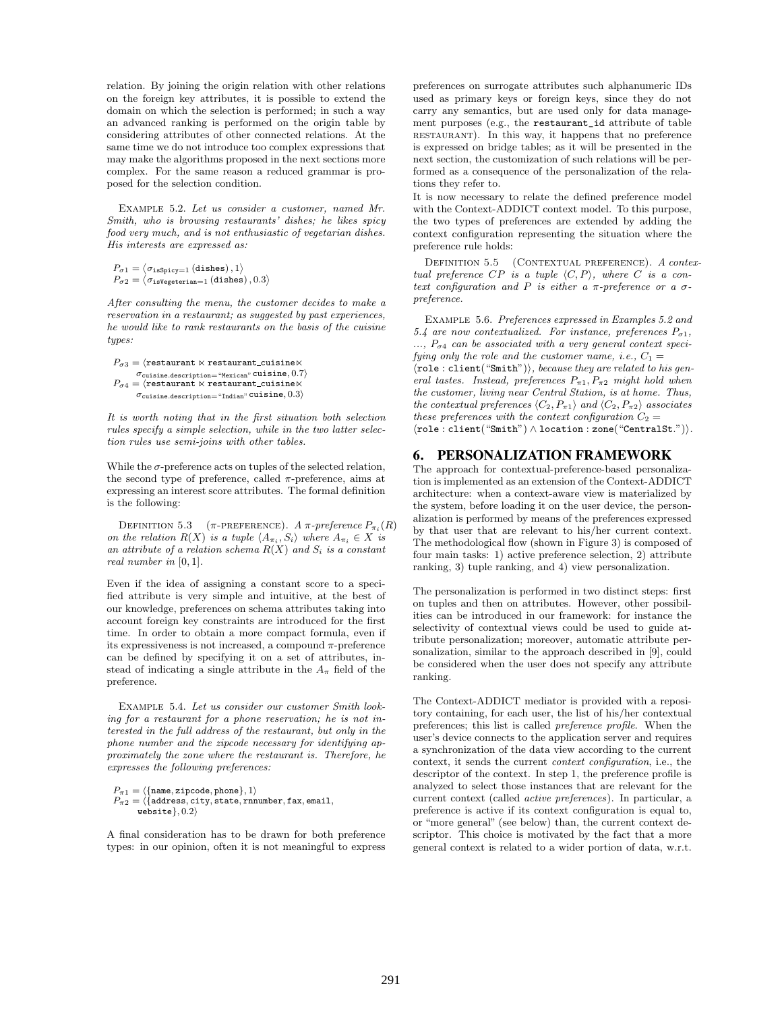relation. By joining the origin relation with other relations on the foreign key attributes, it is possible to extend the domain on which the selection is performed; in such a way an advanced ranking is performed on the origin table by considering attributes of other connected relations. At the same time we do not introduce too complex expressions that may make the algorithms proposed in the next sections more complex. For the same reason a reduced grammar is proposed for the selection condition.

Example 5.2. *Let us consider a customer, named Mr. Smith, who is browsing restaurants' dishes; he likes spicy food very much, and is not enthusiastic of vegetarian dishes. His interests are expressed as:*

```
P_{\sigma1} = \langle \sigma_{\texttt{isSpicy=1}} \left( \texttt{dishes} \right), 1 \rangleP_{\sigma2} = \langle \sigma_{\tt isVegeterian=1}\,(\tt dishes)\,,0.3\rangle
```
*After consulting the menu, the customer decides to make a reservation in a restaurant; as suggested by past experiences, he would like to rank restaurants on the basis of the cuisine types:*

 $P_{\sigma 3} = \langle$ restaurant  $\ltimes$  restaurant\_cuisine $\ltimes$  $\sigma_{\text{cusing. description}=\text{``Mexican''}}$ cuisine,  $0.7 \rangle$  $P_{\sigma 4} = \langle$ restaurant  $\ltimes$  restaurant\_cuisine $\ltimes$  $\sigma_{\text{cusing. description}=\text{``Indian''}}$ cuisine,  $0.3 \rangle$ 

*It is worth noting that in the first situation both selection rules specify a simple selection, while in the two latter selection rules use semi-joins with other tables.*

While the  $\sigma$ -preference acts on tuples of the selected relation, the second type of preference, called  $\pi$ -preference, aims at expressing an interest score attributes. The formal definition is the following:

DEFINITION 5.3  $(\pi$ -PREFERENCE). *A*  $\pi$ -preference  $P_{\pi_i}(R)$ *on the relation*  $R(X)$  *is a tuple*  $\langle A_{\pi_i}, S_i \rangle$  *where*  $A_{\pi_i} \in X$  *is* an attribute of a relation schema  $R(X)$  and  $S_i$  is a constant *real number in* [0, 1]*.*

Even if the idea of assigning a constant score to a specified attribute is very simple and intuitive, at the best of our knowledge, preferences on schema attributes taking into account foreign key constraints are introduced for the first time. In order to obtain a more compact formula, even if its expressiveness is not increased, a compound  $\pi$ -preference can be defined by specifying it on a set of attributes, instead of indicating a single attribute in the  $A_{\pi}$  field of the preference.

Example 5.4. *Let us consider our customer Smith looking for a restaurant for a phone reservation; he is not interested in the full address of the restaurant, but only in the phone number and the zipcode necessary for identifying approximately the zone where the restaurant is. Therefore, he expresses the following preferences:*

 $P_{\pi1} = \langle \{\texttt{name}, \texttt{zipcode}, \texttt{phone}\}, 1 \rangle$  $P_{\pi2} = \langle \textrm{\{address}, \textrm{city}, \textrm{state}, \textrm{rnumber}, \textrm{fax}, \textrm{email}, \label{eq:3}$ website $\}$ , 0.2 $\rangle$ 

A final consideration has to be drawn for both preference types: in our opinion, often it is not meaningful to express

preferences on surrogate attributes such alphanumeric IDs used as primary keys or foreign keys, since they do not carry any semantics, but are used only for data management purposes (e.g., the restaurant\_id attribute of table restaurant). In this way, it happens that no preference is expressed on bridge tables; as it will be presented in the next section, the customization of such relations will be performed as a consequence of the personalization of the relations they refer to.

It is now necessary to relate the defined preference model with the Context-ADDICT context model. To this purpose, the two types of preferences are extended by adding the context configuration representing the situation where the preference rule holds:

Definition 5.5 (Contextual preference). *A contextual preference*  $CP$  *is a tuple*  $\langle C, P \rangle$ *, where*  $C$  *is a context configuration and* P *is either a* π*-preference or a* σ*preference.*

Example 5.6. *Preferences expressed in Examples 5.2 and 5.4 are now contextualized. For instance, preferences*  $P_{\sigma 1}$ , *...,* Pσ<sup>4</sup> *can be associated with a very general context specifying only the role and the customer name, i.e.,*  $C_1 =$  $\langle$ role : client("Smith")), *because they are related to his general tastes. Instead, preferences*  $P_{\pi 1}$ ,  $P_{\pi 2}$  *might hold when the customer, living near Central Station, is at home. Thus, the contextual preferences*  $\langle C_2, P_{\pi 1} \rangle$  *and*  $\langle C_2, P_{\pi 2} \rangle$  *associates these preferences with the context configuration*  $C_2$  = !role : client("Smith") ∧ location : zone("CentralSt.")"*.*

# **6. PERSONALIZATION FRAMEWORK**

The approach for contextual-preference-based personalization is implemented as an extension of the Context-ADDICT architecture: when a context-aware view is materialized by the system, before loading it on the user device, the personalization is performed by means of the preferences expressed by that user that are relevant to his/her current context. The methodological flow (shown in Figure 3) is composed of four main tasks: 1) active preference selection, 2) attribute ranking, 3) tuple ranking, and 4) view personalization.

The personalization is performed in two distinct steps: first on tuples and then on attributes. However, other possibilities can be introduced in our framework: for instance the selectivity of contextual views could be used to guide attribute personalization; moreover, automatic attribute personalization, similar to the approach described in [9], could be considered when the user does not specify any attribute ranking.

The Context-ADDICT mediator is provided with a repository containing, for each user, the list of his/her contextual preferences; this list is called *preference profile*. When the user's device connects to the application server and requires a synchronization of the data view according to the current context, it sends the current *context configuration*, i.e., the descriptor of the context. In step 1, the preference profile is analyzed to select those instances that are relevant for the current context (called *active preferences*). In particular, a preference is active if its context configuration is equal to, or "more general" (see below) than, the current context descriptor. This choice is motivated by the fact that a more general context is related to a wider portion of data, w.r.t.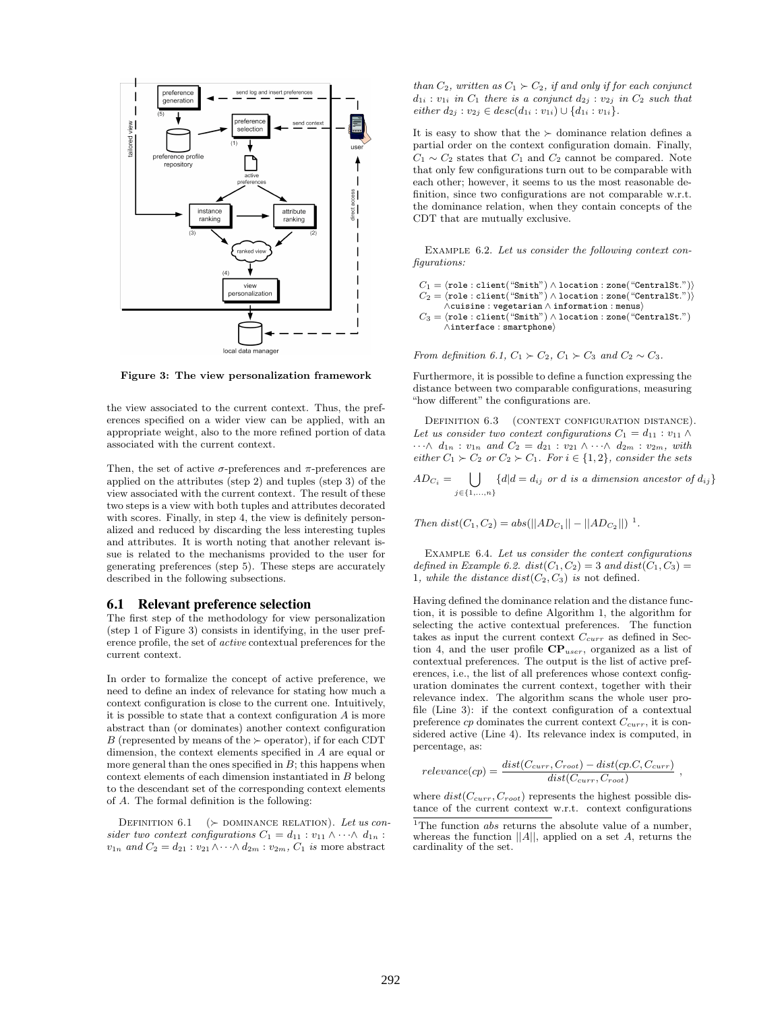

Figure 3: The view personalization framework

the view associated to the current context. Thus, the preferences specified on a wider view can be applied, with an appropriate weight, also to the more refined portion of data associated with the current context.

Then, the set of active  $\sigma$ -preferences and  $\pi$ -preferences are applied on the attributes (step 2) and tuples (step 3) of the view associated with the current context. The result of these two steps is a view with both tuples and attributes decorated with scores. Finally, in step 4, the view is definitely personalized and reduced by discarding the less interesting tuples and attributes. It is worth noting that another relevant issue is related to the mechanisms provided to the user for generating preferences (step 5). These steps are accurately described in the following subsections.

#### **6.1 Relevant preference selection**

The first step of the methodology for view personalization (step 1 of Figure 3) consists in identifying, in the user preference profile, the set of *active* contextual preferences for the current context.

In order to formalize the concept of active preference, we need to define an index of relevance for stating how much a context configuration is close to the current one. Intuitively, it is possible to state that a context configuration A is more abstract than (or dominates) another context configuration B (represented by means of the  $\succ$  operator), if for each CDT dimension, the context elements specified in A are equal or more general than the ones specified in  $B$ ; this happens when context elements of each dimension instantiated in B belong to the descendant set of the corresponding context elements of A. The formal definition is the following:

DEFINITION  $6.1$  ( $\succ$  DOMINANCE RELATION). Let us con*sider two context configurations*  $C_1 = d_{11} : v_{11} \wedge \cdots \wedge d_{1n}$ :  $v_{1n}$  *and*  $C_2 = d_{21} : v_{21} \wedge \cdots \wedge d_{2m} : v_{2m}, C_1$  *is* more abstract

*than*  $C_2$ *, written as*  $C_1 \succ C_2$ *, if and only if for each conjunct*  $d_{1i} : v_{1i}$  *in*  $C_1$  *there is a conjunct*  $d_{2j} : v_{2j}$  *in*  $C_2$  *such that either*  $d_{2j}$  :  $v_{2j} \in desc(d_{1i} : v_{1i}) \cup \{d_{1i} : v_{1i}\}.$ 

It is easy to show that the  $\succ$  dominance relation defines a partial order on the context configuration domain. Finally,  $C_1 \sim C_2$  states that  $C_1$  and  $C_2$  cannot be compared. Note that only few configurations turn out to be comparable with each other; however, it seems to us the most reasonable definition, since two configurations are not comparable w.r.t. the dominance relation, when they contain concepts of the CDT that are mutually exclusive.

Example 6.2. *Let us consider the following context configurations:*

 $C_1 = \langle {\tt role: client("Smith")} \land {\tt location: zone("CentralSt.")} \rangle$  $C_2 = \langle$ role : client $($ "Smith")  $\land$  location : zone $($ "CentralSt.") $)$ ∧cuisine : vegetarian ∧ information : menus#

 $C_3 = \langle$ role : client("Smith")  $\land$  location : zone("CentralSt.") ∧interface : smartphone#

*From definition 6.1,*  $C_1 \succ C_2$ ,  $C_1 \succ C_3$  *and*  $C_2 \sim C_3$ *.* 

Furthermore, it is possible to define a function expressing the distance between two comparable configurations, measuring "how different" the configurations are.

DEFINITION 6.3 (CONTEXT CONFIGURATION DISTANCE). Let us consider two context configurations  $C_1 = d_{11} : v_{11} \wedge$  $\cdots \wedge d_{1n} : v_{1n}$  *and*  $C_2 = d_{21} : v_{21} \wedge \cdots \wedge d_{2m} : v_{2m}$ *, with either*  $C_1 \succ C_2$  *or*  $C_2 \succ C_1$ *. For*  $i \in \{1, 2\}$ *, consider the sets* 

$$
AD_{C_i} = \bigcup_{j \in \{1, ..., n\}} \{d | d = d_{ij} \text{ or } d \text{ is a dimension ancestor of } d_{ij}\}
$$

*Then*  $dist(C_1, C_2) = abs(||AD_{C_1}|| - ||AD_{C_2}||)^{-1}$ .

Example 6.4. *Let us consider the context configurations defined in Example 6.2.*  $dist(C_1, C_2) = 3$  *and*  $dist(C_1, C_3) =$ 1*, while the distance*  $dist(C_2, C_3)$  *is* not defined.

Having defined the dominance relation and the distance function, it is possible to define Algorithm 1, the algorithm for selecting the active contextual preferences. The function takes as input the current context  $C_{curr}$  as defined in Section 4, and the user profile  $\mathbf{CP}_{user}$ , organized as a list of contextual preferences. The output is the list of active preferences, i.e., the list of all preferences whose context configuration dominates the current context, together with their relevance index. The algorithm scans the whole user profile (Line 3): if the context configuration of a contextual preference  $cp$  dominates the current context  $C_{curr}$ , it is considered active (Line 4). Its relevance index is computed, in percentage, as:

$$
relevance(op) = \frac{dist(C_{curr}, C_{root}) - dist(cp.C, C_{curr})}{dist(C_{curr}, C_{root})},
$$

where  $dist(C_{curr}, C_{root})$  represents the highest possible distance of the current context w.r.t. context configurations

<sup>1</sup>The function *abs* returns the absolute value of a number, whereas the function  $||A||$ , applied on a set A, returns the cardinality of the set.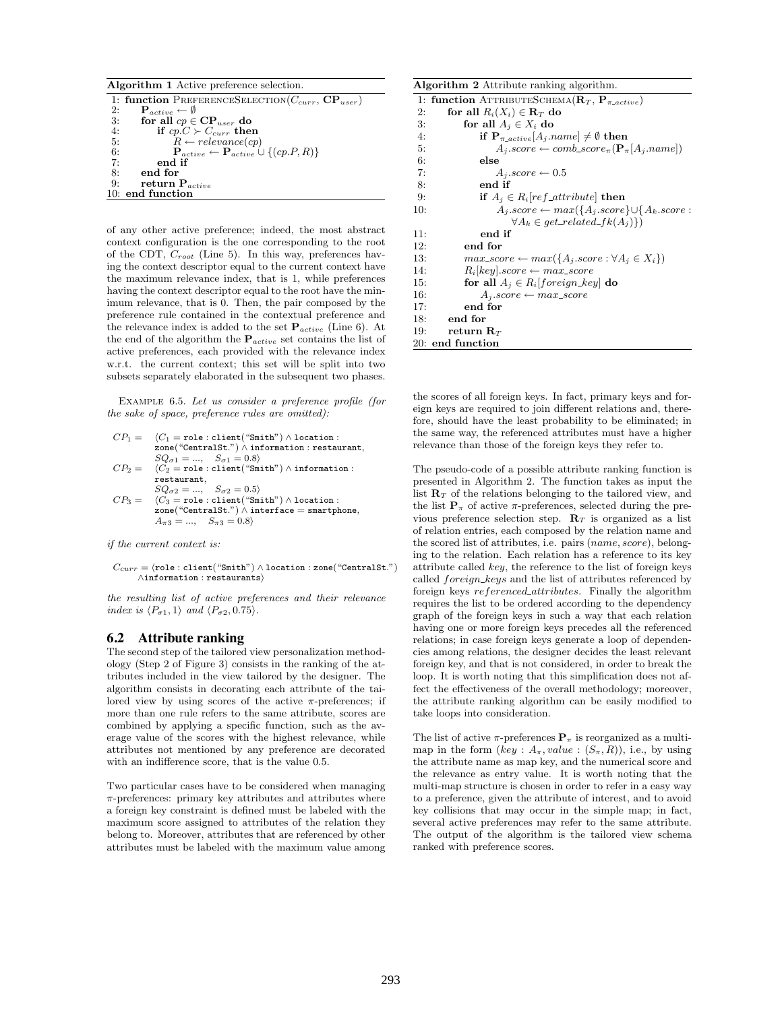|    | <b>Algorithm 1</b> Active preference selection.                    |
|----|--------------------------------------------------------------------|
|    | 1: function PREFERENCESELECTION( $C_{curr}$ , $\text{CP}_{user}$ ) |
| 2: | ${\bf P}_{active} \leftarrow \emptyset$                            |
| 3: | for all $cp \in \mathbf{CP}_{user}$ do                             |
| 4: | if $cp.C \succ C_{curr}$ then                                      |
| 5: | $R \leftarrow relevance(cp)$                                       |
| 6: | ${\bf P}_{active} \leftarrow {\bf P}_{active} \cup \{(cp.P, R)\}$  |
| 7: | end if                                                             |
| 8: | end for                                                            |
| 9: | return $P_{active}$                                                |
|    | 10: end function                                                   |

of any other active preference; indeed, the most abstract context configuration is the one corresponding to the root of the CDT,  $C_{root}$  (Line 5). In this way, preferences having the context descriptor equal to the current context have the maximum relevance index, that is 1, while preferences having the context descriptor equal to the root have the minimum relevance, that is 0. Then, the pair composed by the preference rule contained in the contextual preference and the relevance index is added to the set  $P_{active}$  (Line 6). At the end of the algorithm the  $P_{active}$  set contains the list of active preferences, each provided with the relevance index w.r.t. the current context; this set will be split into two subsets separately elaborated in the subsequent two phases.

Example 6.5. *Let us consider a preference profile (for the sake of space, preference rules are omitted):*

| $CP_1 =$ | $\langle C_1 =$ role: client ("Smith") $\land$ location:        |
|----------|-----------------------------------------------------------------|
|          | $zone("CentralSt.") \wedge information: restaurant,$            |
|          | $SQ_{\sigma 1} = , \quad S_{\sigma 1} = 0.8$                    |
| $CP_2 =$ | $\langle C_2 =$ role: client ("Smith") $\land$ information:     |
|          | restaurant,                                                     |
|          | $SQ_{\sigma2} = , \quad S_{\sigma2} = 0.5$                      |
| $CP_3 =$ | $\langle C_3 \rangle$ = role: client("Smith") $\land$ location: |
|          | zone("CentralSt.") $\land$ interface = smartphone,              |
|          |                                                                 |

 $A_{\pi 3} = ..., \quad S_{\pi 3} = 0.8$ 

*if the current context is:*

 $C_{curr} = \langle$ role : client("Smith")  $\land$  location : zone("CentralSt.")  $\land$ information : restaurants $\rangle$ 

*the resulting list of active preferences and their relevance index is*  $\langle P_{\sigma 1}, 1 \rangle$  *and*  $\langle P_{\sigma 2}, 0.75 \rangle$ *.* 

## **6.2 Attribute ranking**

The second step of the tailored view personalization methodology (Step 2 of Figure 3) consists in the ranking of the attributes included in the view tailored by the designer. The algorithm consists in decorating each attribute of the tailored view by using scores of the active  $\pi$ -preferences; if more than one rule refers to the same attribute, scores are combined by applying a specific function, such as the average value of the scores with the highest relevance, while attributes not mentioned by any preference are decorated with an indifference score, that is the value 0.5.

Two particular cases have to be considered when managing  $\pi$ -preferences: primary key attributes and attributes where a foreign key constraint is defined must be labeled with the maximum score assigned to attributes of the relation they belong to. Moreover, attributes that are referenced by other attributes must be labeled with the maximum value among

Algorithm 2 Attribute ranking algorithm. 1: function ATTRIBUTESCHEMA( $\mathbf{R}_T$ ,  $\mathbf{P}_{\pi\_active}$ ) 2: for all  $R_i(X_i) \in \mathbf{R}_T$  do<br>3: for all  $A_i \in X_i$  do 3: for all  $A_j \in X_i$  do 4: if  $P_{\text{a}}$  attive  $A_i$ . 4: if  $\mathbf{P}_{\pi,\text{active}}[A_j.\text{name}] \neq \emptyset$  then<br>5:  $A_j.\text{score} \leftarrow \text{comb\_score}_{\pi}(\mathbf{P}_{\pi})$ 5:  $A_j.score \leftarrow comb\_score_{\pi}(\mathbf{P}_{\pi}[A_j.name])$ <br>6: else else 7:  $A_j \text{.score} \leftarrow 0.5$ <br>8: end if end if 9: **if**  $A_j \in R_i[ref\_attribute]$  then<br>10:  $A_i.score \leftarrow max(\{A_i.score\})$  $A_j.score \leftarrow max({A_j.score} \cup {A_k.score}$ :  $\forall A_k \in get\_related\_fk(A_i)\})$ 11: end if 12: end for 13:  $max\_score \leftarrow max({A_j.score : \forall A_j \in X_i})$ <br>14:  $R_i[kev].score \leftarrow max\_score$ 14:  $R_i [key].score \leftarrow max\_score$ <br>15: **for all**  $A_i \in R_i$  [foreion\_ke 15: **for all**  $A_j \in R_i$  [*foreign\_key*] **do**<br>16:  $A_j \text{.score} \leftarrow \text{max\_score}$ 16:  $A_j \text{.score} \leftarrow \text{max\_score}$ <br>17: **end for** end for 18: end for 19: return  $\mathbf{R}_{\tau}$ 20: end function

the scores of all foreign keys. In fact, primary keys and foreign keys are required to join different relations and, therefore, should have the least probability to be eliminated; in the same way, the referenced attributes must have a higher relevance than those of the foreign keys they refer to.

The pseudo-code of a possible attribute ranking function is presented in Algorithm 2. The function takes as input the list  $\mathbf{R}_T$  of the relations belonging to the tailored view, and the list  $P_{\pi}$  of active  $\pi$ -preferences, selected during the previous preference selection step.  $\mathbf{R}_T$  is organized as a list of relation entries, each composed by the relation name and the scored list of attributes, i.e. pairs (name, score), belonging to the relation. Each relation has a reference to its key attribute called key, the reference to the list of foreign keys called *foreign\_keys* and the list of attributes referenced by foreign keys referenced attributes. Finally the algorithm requires the list to be ordered according to the dependency graph of the foreign keys in such a way that each relation having one or more foreign keys precedes all the referenced relations; in case foreign keys generate a loop of dependencies among relations, the designer decides the least relevant foreign key, and that is not considered, in order to break the loop. It is worth noting that this simplification does not affect the effectiveness of the overall methodology; moreover, the attribute ranking algorithm can be easily modified to take loops into consideration.

The list of active  $\pi$ -preferences  $P_{\pi}$  is reorganized as a multimap in the form  $(key : A_{\pi}, value : (S_{\pi}, R))$ , i.e., by using the attribute name as map key, and the numerical score and the relevance as entry value. It is worth noting that the multi-map structure is chosen in order to refer in a easy way to a preference, given the attribute of interest, and to avoid key collisions that may occur in the simple map; in fact, several active preferences may refer to the same attribute. The output of the algorithm is the tailored view schema ranked with preference scores.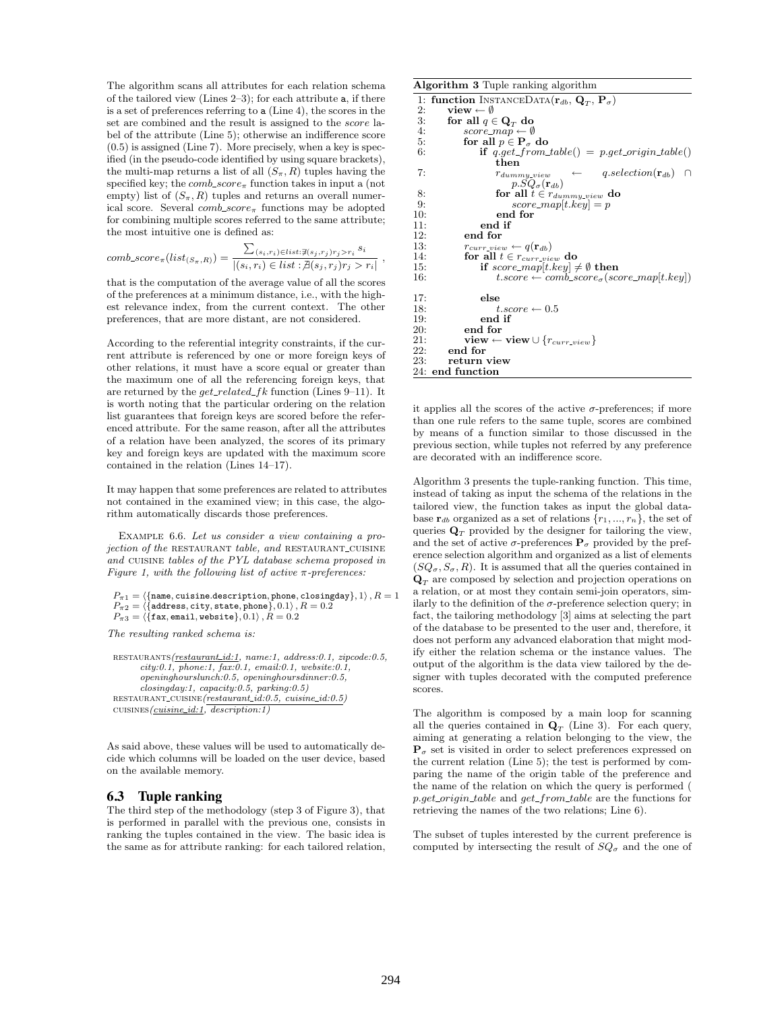The algorithm scans all attributes for each relation schema of the tailored view (Lines 2–3); for each attribute a, if there is a set of preferences referring to a (Line 4), the scores in the set are combined and the result is assigned to the score label of the attribute (Line 5); otherwise an indifference score (0.5) is assigned (Line 7). More precisely, when a key is specified (in the pseudo-code identified by using square brackets), the multi-map returns a list of all  $(S_{\pi}, R)$  tuples having the specified key; the  $comb\_score_{\pi}$  function takes in input a (not empty) list of  $(S_{\pi}, R)$  tuples and returns an overall numerical score. Several  $comb\_score_{\pi}$  functions may be adopted for combining multiple scores referred to the same attribute; the most intuitive one is defined as:

comb\_score<sub>$$
\pi
$$</sub>(list <sub>$(S_{\pi}, R)$</sub> ) =  $\frac{\sum_{(s_i, r_i) \in list : \mathcal{I}(s_j, r_j) r_j > r_i} s_i}{|(s_i, r_i) \in list : \mathcal{A}(s_j, r_j) r_j > r_i|},$ 

that is the computation of the average value of all the scores of the preferences at a minimum distance, i.e., with the highest relevance index, from the current context. The other preferences, that are more distant, are not considered.

According to the referential integrity constraints, if the current attribute is referenced by one or more foreign keys of other relations, it must have a score equal or greater than the maximum one of all the referencing foreign keys, that are returned by the  $get\_related\_fk$  function (Lines 9–11). It is worth noting that the particular ordering on the relation list guarantees that foreign keys are scored before the referenced attribute. For the same reason, after all the attributes of a relation have been analyzed, the scores of its primary key and foreign keys are updated with the maximum score contained in the relation (Lines 14–17).

It may happen that some preferences are related to attributes not contained in the examined view; in this case, the algorithm automatically discards those preferences.

Example 6.6. *Let us consider a view containing a projection of the* RESTAURANT *table, and* RESTAURANT\_CUISINE *and* cuisine *tables of the PYL database schema proposed in Figure 1, with the following list of active* π*-preferences:*

 $P_{\pi1} = \langle \{\texttt{name}, \texttt{cusing.} \texttt{description}, \texttt{phone}, \texttt{closingday}\}, 1 \rangle$ ,  $R = 1$  $P_{\pi2} = \langle \{\text{address}, \text{city}, \text{state}, \text{phone}\}, 0.1 \rangle$ ,  $R = 0.2$  $P_{\pi3} = \langle \{\texttt{fast}, \texttt{email}, \texttt{website} \}, 0.1 \rangle$ ,  $R = 0.2$ 

*The resulting ranked schema is:*

```
restaurants(restaurant id:1, name:1, address:0.1, zipcode:0.5,
      city:0.1, phone:1, fax:0.1, email:0.1, website:0.1,
      openinghourslunch:0.5, openinghoursdinner:0.5,
      closingday:1, capacity:0.5, parking:0.5)
restaurant cuisine(restaurant id:0.5, cuisine id:0.5)
cuisines(cuisine id:1, description:1)
```
As said above, these values will be used to automatically decide which columns will be loaded on the user device, based on the available memory.

#### **6.3 Tuple ranking**

The third step of the methodology (step 3 of Figure 3), that is performed in parallel with the previous one, consists in ranking the tuples contained in the view. The basic idea is the same as for attribute ranking: for each tailored relation,

```
Algorithm 3 Tuple ranking algorithm
 1: function INSTANCEDATA(\mathbf{r}_{db}, \mathbf{Q}_T, \mathbf{P}_{\sigma})<br>2: view \leftarrow \emptyset2: view \leftarrow \emptyset<br>3: for all q \in3: for all q \in \mathbf{Q}_T do<br>4: score\_map \leftarrow \emptyset4: score\_map \leftarrow \emptyset<br>5: for all p \in \mathbf{P}_{\sigma}5: for all p \in \mathbf{P}_{\sigma} do<br>6: if a.get_from_
  6: if q.get\_from\_table() = p.get\_origin\_table()then
  7: r_{dummy\_view} \leftarrow q. selection(\mathbf{r}_{db}) \cap p.SQ_{\sigma}(\mathbf{r}_{db})8: for all t \in r_{dummy\_view} do<br>9: score\_map[t.key] = p9: score\_map[t.key] = p<br>10: end for
10: end for<br>11: end if
11: \qquad \qquad \text{end if}<br>12: \qquad \qquad \text{end for}12: end for<br>13: r_{curr\_view}13: r_{curr\_view} \leftarrow q(\mathbf{r}_{db})<br>14: for all t \in r_{current}14: for all t \in r_{curr\_view} do
15: if score\_map[t-key] \neq \emptyset then
16: t-score \leftarrow comb\_score_{\sigma}(score\_map[t.key])17: else<br>
18: t18: t_score \leftarrow 0.5<br>19: end if
19: end if<br>20: end for
20: end for<br>
21: end for
21: view ← view \cup {r_{curr\_view}}<br>22: end for
22: end for 23: return
           return view
24: end function
```
it applies all the scores of the active  $\sigma$ -preferences; if more than one rule refers to the same tuple, scores are combined by means of a function similar to those discussed in the previous section, while tuples not referred by any preference are decorated with an indifference score.

Algorithm 3 presents the tuple-ranking function. This time, instead of taking as input the schema of the relations in the tailored view, the function takes as input the global database  $\mathbf{r}_{db}$  organized as a set of relations  $\{r_1, ..., r_n\}$ , the set of queries  $\mathbf{Q}_T$  provided by the designer for tailoring the view, and the set of active  $\sigma$ -preferences  $P_{\sigma}$  provided by the preference selection algorithm and organized as a list of elements  $(SQ_{\sigma}, S_{\sigma}, R)$ . It is assumed that all the queries contained in  $\mathbf{Q}_T$  are composed by selection and projection operations on a relation, or at most they contain semi-join operators, similarly to the definition of the  $\sigma$ -preference selection query; in fact, the tailoring methodology [3] aims at selecting the part of the database to be presented to the user and, therefore, it does not perform any advanced elaboration that might modify either the relation schema or the instance values. The output of the algorithm is the data view tailored by the designer with tuples decorated with the computed preference scores.

The algorithm is composed by a main loop for scanning all the queries contained in  $\mathbf{Q}_T$  (Line 3). For each query, aiming at generating a relation belonging to the view, the  $\mathbf{P}_\sigma$  set is visited in order to select preferences expressed on the current relation (Line 5); the test is performed by comparing the name of the origin table of the preference and the name of the relation on which the query is performed (  $p.get\_origin\_table$  and  $get\_from\_table$  are the functions for retrieving the names of the two relations; Line 6).

The subset of tuples interested by the current preference is computed by intersecting the result of  $SQ_{\sigma}$  and the one of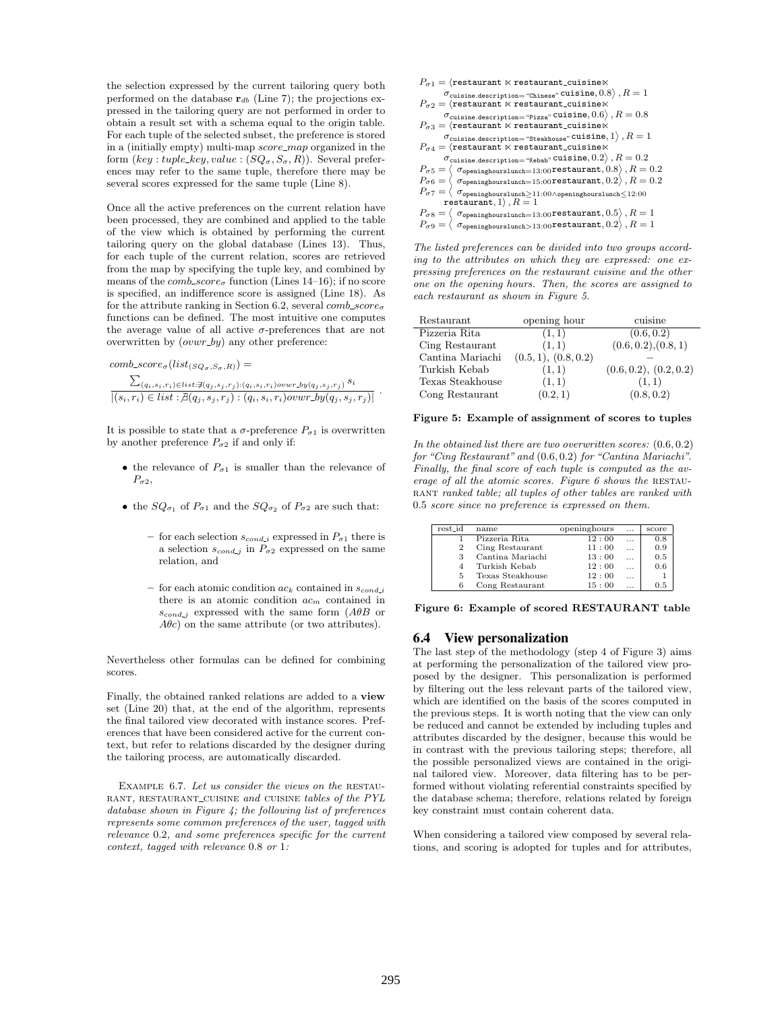the selection expressed by the current tailoring query both performed on the database  $r_{db}$  (Line 7); the projections expressed in the tailoring query are not performed in order to obtain a result set with a schema equal to the origin table. For each tuple of the selected subset, the preference is stored in a (initially empty) multi-map score\_map organized in the form  $(key: tuple\_key, value: (SQ_{\sigma}, S_{\sigma}, R))$ . Several preferences may refer to the same tuple, therefore there may be several scores expressed for the same tuple (Line 8).

Once all the active preferences on the current relation have been processed, they are combined and applied to the table of the view which is obtained by performing the current tailoring query on the global database (Lines 13). Thus, for each tuple of the current relation, scores are retrieved from the map by specifying the tuple key, and combined by means of the  $comb\_score_{\sigma}$  function (Lines 14–16); if no score is specified, an indifference score is assigned (Line 18). As for the attribute ranking in Section 6.2, several  $comb\_score_{\sigma}$ functions can be defined. The most intuitive one computes the average value of all active  $\sigma$ -preferences that are not overwritten by  $(own\_by)$  any other preference:

 $comb\_score_{\sigma}(list_{(SQ_{\sigma},S_{\sigma},R)}) =$ 

 $\frac{\sum_{(q_i, s_i, r_i) \in list : \nexists (q_j, s_j, r_j) : (q_i, s_i, r_i) \text{ow} \text{w} \text{r} \text{b} \text{y} (q_j, s_j, r_j) \text{ } s_i}}{|(s_i, r_i) \in list : \nexists (q_j, s_j, r_j) : (q_i, s_i, r_i) \text{ow} \text{w} \text{r} \text{b} \text{y} (q_j, s_j, r_j)|} \text{ .}$ 

It is possible to state that a  $\sigma$ -preference  $P_{\sigma}$  is overwritten by another preference  $P_{\sigma 2}$  if and only if:

- the relevance of  $P_{\sigma 1}$  is smaller than the relevance of  $P_{\sigma 2}$
- the  $SQ_{\sigma_1}$  of  $P_{\sigma_1}$  and the  $SQ_{\sigma_2}$  of  $P_{\sigma_2}$  are such that:
	- for each selection  $s_{cond\_i}$  expressed in  $P_{\sigma\,1}$  there is a selection  $s_{cond,j}$  in  $P_{\sigma 2}$  expressed on the same relation, and
	- for each atomic condition  $ac_k$  contained in  $s_{cond\_i}$ there is an atomic condition  $ac_m$  contained in  $s_{cond,j}$  expressed with the same form  $(A\theta B)$  or  $A\theta c$ ) on the same attribute (or two attributes).

Nevertheless other formulas can be defined for combining scores.

Finally, the obtained ranked relations are added to a view set (Line 20) that, at the end of the algorithm, represents the final tailored view decorated with instance scores. Preferences that have been considered active for the current context, but refer to relations discarded by the designer during the tailoring process, are automatically discarded.

EXAMPLE 6.7. Let us consider the views on the RESTAUrant*,* restaurant cuisine *and* cuisine *tables of the PYL database shown in Figure 4; the following list of preferences represents some common preferences of the user, tagged with relevance* 0.2*, and some preferences specific for the current context, tagged with relevance* 0.8 *or* 1*:*

| $P_{\sigma 1} = \langle$ restaurant $\ltimes$ restaurant_cuisine $\ltimes$                                                                                                                                                                                                                                                                                                                                                                                        |  |  |  |
|-------------------------------------------------------------------------------------------------------------------------------------------------------------------------------------------------------------------------------------------------------------------------------------------------------------------------------------------------------------------------------------------------------------------------------------------------------------------|--|--|--|
| $\sigma_{\text{cusing.description}=\text{``Chinese''}~\text{cuisse}}$ cuisine, $0.8 \rangle$ , $R=1$                                                                                                                                                                                                                                                                                                                                                              |  |  |  |
| $P_{\sigma 2} = \langle$ restaurant $\ltimes$ restaurant_cuisine $\ltimes$                                                                                                                                                                                                                                                                                                                                                                                        |  |  |  |
| $\sigma_{\text{cuisine. description}=\text{``Pizza''}}\text{cuisine},0.6\big\rangle$ , $R=0.8$                                                                                                                                                                                                                                                                                                                                                                    |  |  |  |
| $P_{\sigma 3} = \langle$ restaurant $\ltimes$ restaurant_cuisine $\ltimes$                                                                                                                                                                                                                                                                                                                                                                                        |  |  |  |
| $\sigma_{\texttt{cusing.description}=``\texttt{Steakhouse}''}\, \texttt{cusing}, 1\rangle$ , $R=1$                                                                                                                                                                                                                                                                                                                                                                |  |  |  |
| $P_{\sigma 4} = \langle$ restaurant $\ltimes$ restaurant_cuisine $\ltimes$                                                                                                                                                                                                                                                                                                                                                                                        |  |  |  |
| $\sigma_{\rm cuisine. description='Kebab" }$ cuisine, $0.2 \rangle$ , $R=0.2$                                                                                                                                                                                                                                                                                                                                                                                     |  |  |  |
|                                                                                                                                                                                                                                                                                                                                                                                                                                                                   |  |  |  |
| $P_{\sigma 5} = \Big \langle \begin{array}{l} \sigma_{\text{opening} \text{boundary-lunch}=13:00} \text{restaurant}, 0.8 \Big \rangle \, , R = 0.2 \\ P_{\sigma 6} = \Big \langle \begin{array}{l} \sigma_{\text{opening} \text{boundary-lunch}=15:00} \text{restaurant}, 0.2 \Big \rangle \, , R = 0.2 \end{array} \right.$                                                                                                                                      |  |  |  |
| $P_{\sigma 7} = \langle \sigma_{\text{openinghourslunch}\geq 11:00\land\text{openinghourslunch}\leq 12:00}$                                                                                                                                                                                                                                                                                                                                                       |  |  |  |
| restaurant, 1), $R=1$                                                                                                                                                                                                                                                                                                                                                                                                                                             |  |  |  |
| $\begin{array}{l} P_{\sigma 8}=\big\langle \begin{array}{l} \sigma_{\text{opening} \text{boundary} \text{glu} \text{n} \text{ch} = 13:00} \texttt{res} \texttt{t} \texttt{a} \texttt{u} \texttt{r} \texttt{a} \texttt{t},0.5 \big\rangle \,, R=1 \\ P_{\sigma 9}=\big\langle \begin{array}{l} \sigma_{\text{opening} \text{boundary} \text{glu} \text{n} \text{ch} > 13:00} \texttt{res} \texttt{t} \texttt{a} \texttt{u} \texttt{r} \texttt{a} \texttt{t},0.2 \$ |  |  |  |
|                                                                                                                                                                                                                                                                                                                                                                                                                                                                   |  |  |  |

*The listed preferences can be divided into two groups according to the attributes on which they are expressed: one expressing preferences on the restaurant cuisine and the other one on the opening hours. Then, the scores are assigned to each restaurant as shown in Figure 5.*

| Restaurant       | opening hour         | cuisine                |
|------------------|----------------------|------------------------|
| Pizzeria Rita    | (1, 1)               | (0.6, 0.2)             |
| Cing Restaurant  | (1, 1)               | (0.6, 0.2), (0.8, 1)   |
| Cantina Mariachi | (0.5, 1), (0.8, 0.2) |                        |
| Turkish Kebab    | (1, 1)               | (0.6, 0.2), (0.2, 0.2) |
| Texas Steakhouse | (1, 1)               | (1, 1)                 |
| Cong Restaurant  | (0.2, 1)             | (0.8, 0.2)             |

#### Figure 5: Example of assignment of scores to tuples

*In the obtained list there are two overwritten scores:* (0.6, 0.2) *for "Cing Restaurant" and* (0.6, 0.2) *for "Cantina Mariachi". Finally, the final score of each tuple is computed as the average of all the atomic scores. Figure 6 shows the RESTAU-*RANT *ranked table; all tuples of other tables are ranked with* 0.5 *score since no preference is expressed on them.*

| rest_id | name             | openinghours | $\cdots$             | score |
|---------|------------------|--------------|----------------------|-------|
|         | Pizzeria Rita    | 12:00        | $\cdots$             | 0.8   |
| 2       | Cing Restaurant  | 11:00        | $\cdots$             | 0.9   |
| 3       | Cantina Mariachi | 13:00        | $\cdots$             | 0.5   |
|         | Turkish Kebab    | 12:00        | $\cdots$             | 0.6   |
| 5       | Texas Steakhouse | 12:00        | $\ddot{\phantom{a}}$ |       |
| 6       | Cong Restaurant  | 15:00        |                      | 0.5   |

Figure 6: Example of scored RESTAURANT table

#### **6.4 View personalization**

The last step of the methodology (step 4 of Figure 3) aims at performing the personalization of the tailored view proposed by the designer. This personalization is performed by filtering out the less relevant parts of the tailored view, which are identified on the basis of the scores computed in the previous steps. It is worth noting that the view can only be reduced and cannot be extended by including tuples and attributes discarded by the designer, because this would be in contrast with the previous tailoring steps; therefore, all the possible personalized views are contained in the original tailored view. Moreover, data filtering has to be performed without violating referential constraints specified by the database schema; therefore, relations related by foreign key constraint must contain coherent data.

When considering a tailored view composed by several relations, and scoring is adopted for tuples and for attributes,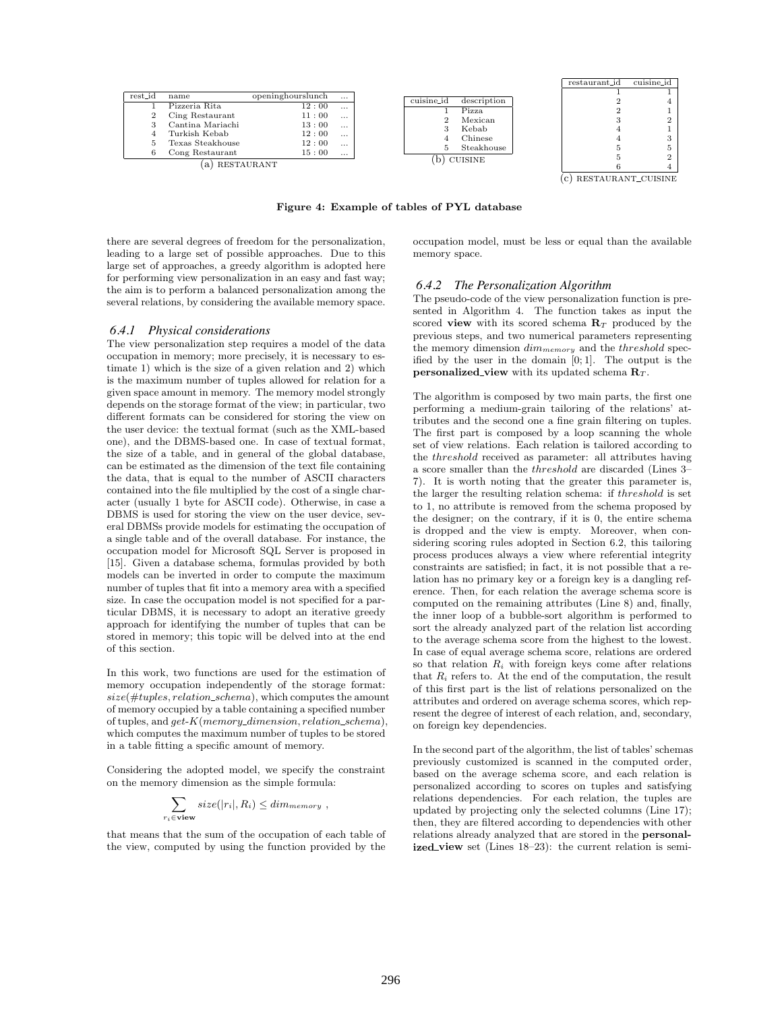

Figure 4: Example of tables of PYL database

there are several degrees of freedom for the personalization, leading to a large set of possible approaches. Due to this large set of approaches, a greedy algorithm is adopted here for performing view personalization in an easy and fast way; the aim is to perform a balanced personalization among the several relations, by considering the available memory space.

#### *6.4.1 Physical considerations*

The view personalization step requires a model of the data occupation in memory; more precisely, it is necessary to estimate 1) which is the size of a given relation and 2) which is the maximum number of tuples allowed for relation for a given space amount in memory. The memory model strongly depends on the storage format of the view; in particular, two different formats can be considered for storing the view on the user device: the textual format (such as the XML-based one), and the DBMS-based one. In case of textual format, the size of a table, and in general of the global database, can be estimated as the dimension of the text file containing the data, that is equal to the number of ASCII characters contained into the file multiplied by the cost of a single character (usually 1 byte for ASCII code). Otherwise, in case a DBMS is used for storing the view on the user device, several DBMSs provide models for estimating the occupation of a single table and of the overall database. For instance, the occupation model for Microsoft SQL Server is proposed in [15]. Given a database schema, formulas provided by both models can be inverted in order to compute the maximum number of tuples that fit into a memory area with a specified size. In case the occupation model is not specified for a particular DBMS, it is necessary to adopt an iterative greedy approach for identifying the number of tuples that can be stored in memory; this topic will be delved into at the end of this section.

In this work, two functions are used for the estimation of memory occupation independently of the storage format:  $size(\#tuples, relation\_schema)$ , which computes the amount of memory occupied by a table containing a specified number of tuples, and  $qet-K(memory\_dimension, relation\_schema)$ , which computes the maximum number of tuples to be stored in a table fitting a specific amount of memory.

Considering the adopted model, we specify the constraint on the memory dimension as the simple formula:

$$
\sum_{r_i \in \textbf{view}} size(|r_i|, R_i) \leq dim_{memory} ,
$$

that means that the sum of the occupation of each table of the view, computed by using the function provided by the

occupation model, must be less or equal than the available memory space.

#### *6.4.2 The Personalization Algorithm*

The pseudo-code of the view personalization function is presented in Algorithm 4. The function takes as input the scored view with its scored schema  $R_T$  produced by the previous steps, and two numerical parameters representing the memory dimension  $dim_{memory}$  and the *threshold* specified by the user in the domain  $[0; 1]$ . The output is the personalized view with its updated schema  $\mathbf{R}_T$ .

The algorithm is composed by two main parts, the first one performing a medium-grain tailoring of the relations' attributes and the second one a fine grain filtering on tuples. The first part is composed by a loop scanning the whole set of view relations. Each relation is tailored according to the threshold received as parameter: all attributes having a score smaller than the threshold are discarded (Lines 3– 7). It is worth noting that the greater this parameter is, the larger the resulting relation schema: if threshold is set to 1, no attribute is removed from the schema proposed by the designer; on the contrary, if it is 0, the entire schema is dropped and the view is empty. Moreover, when considering scoring rules adopted in Section 6.2, this tailoring process produces always a view where referential integrity constraints are satisfied; in fact, it is not possible that a relation has no primary key or a foreign key is a dangling reference. Then, for each relation the average schema score is computed on the remaining attributes (Line 8) and, finally, the inner loop of a bubble-sort algorithm is performed to sort the already analyzed part of the relation list according to the average schema score from the highest to the lowest. In case of equal average schema score, relations are ordered so that relation  $R_i$  with foreign keys come after relations that  $R_i$  refers to. At the end of the computation, the result of this first part is the list of relations personalized on the attributes and ordered on average schema scores, which represent the degree of interest of each relation, and, secondary, on foreign key dependencies.

In the second part of the algorithm, the list of tables' schemas previously customized is scanned in the computed order, based on the average schema score, and each relation is personalized according to scores on tuples and satisfying relations dependencies. For each relation, the tuples are updated by projecting only the selected columns (Line 17); then, they are filtered according to dependencies with other relations already analyzed that are stored in the personalized view set (Lines 18–23): the current relation is semi-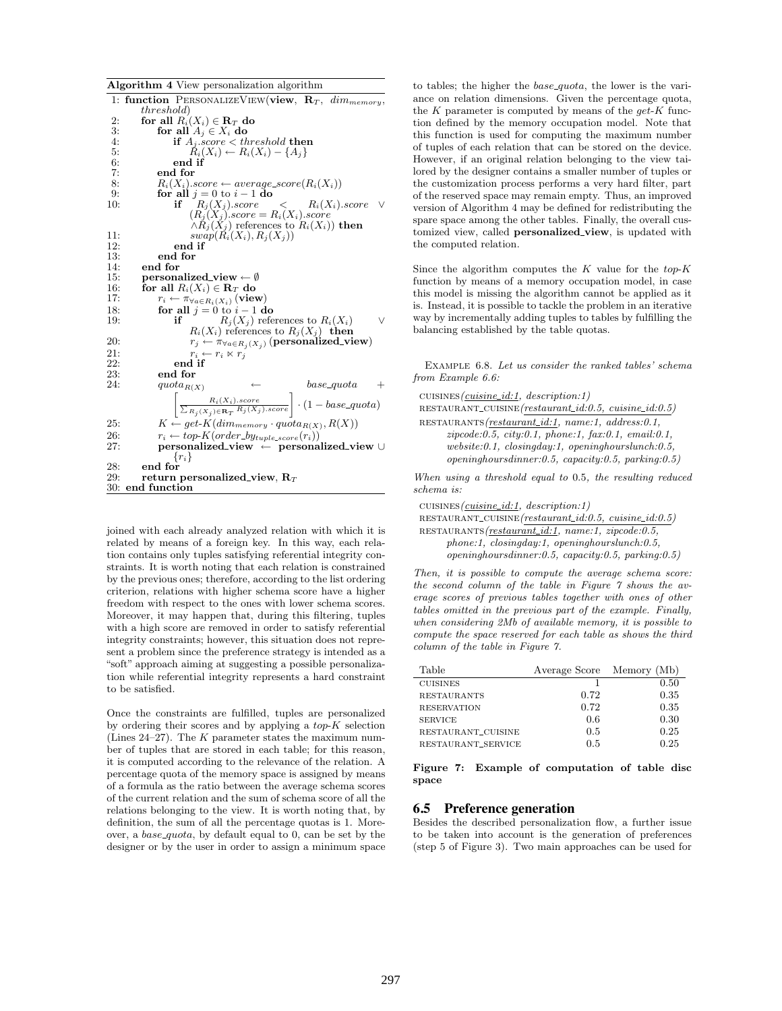|  | Algorithm 4 View personalization algorithm |  |
|--|--------------------------------------------|--|
|--|--------------------------------------------|--|

|          | 1: function PERSONALIZEVIEW(view, $\mathbf{R}_T$ , $dim_{memory}$ ,                                                              |
|----------|----------------------------------------------------------------------------------------------------------------------------------|
|          | threshold)                                                                                                                       |
| 2:       | for all $R_i(X_i) \in \mathbf{R}_T$ do                                                                                           |
| 3:<br>4: | for all $A_j \in X_i$ do                                                                                                         |
| 5:       | if $A_i$ score $\lt$ threshold then<br>$R_i(X_i) \leftarrow R_i(X_i) - \{A_i\}$                                                  |
| 6:       | end if                                                                                                                           |
| 7:       | end for                                                                                                                          |
| 8:       | $R_i(X_i)$ .score $\leftarrow average\_score(R_i(X_i))$                                                                          |
| 9:       | for all $j = 0$ to $i - 1$ do                                                                                                    |
| 10:      | $R_j(X_j)$ .score $\lt$ $R_i(X_i)$ .score $\vee$<br>if                                                                           |
|          |                                                                                                                                  |
|          | $(R_j(X_j))score = R_i(X_i)score$<br>$\land R_j(X_j)$ references to $R_i(X_i)$ then                                              |
| 11:      | $swap(R_i(X_i), R_i(X_i))$                                                                                                       |
| 12:      | end if                                                                                                                           |
| 13:      | end for                                                                                                                          |
| 14:      | end for                                                                                                                          |
| 15:      | personalized_view $\leftarrow \emptyset$                                                                                         |
| 16:      | for all $R_i(X_i) \in \mathbf{R}_T$ do                                                                                           |
| 17:      | $r_i \leftarrow \pi_{\forall a \in R_i(X_i)} (\mathbf{view})$                                                                    |
| 18:      | for all $j = 0$ to $i - 1$ do                                                                                                    |
| 19:      | $R_i(X_i)$ references to $R_i(X_i)$<br>if                                                                                        |
|          | $R_i(X_i)$ references to $R_j(X_j)$ then                                                                                         |
| 20:      | $r_j \leftarrow \pi_{\forall a \in R_j(X_j)}$ (personalized_view)                                                                |
| 21:      | $r_i \leftarrow r_i \ltimes r_j$                                                                                                 |
| 22:      | end if                                                                                                                           |
| 23:      | end for                                                                                                                          |
| 24:      | $base\_quota$<br>$quot a_{R(X)}$<br>$^{+}$                                                                                       |
|          |                                                                                                                                  |
|          | $\left[\frac{R_i(X_i) \cdot score}{\sum_{R_i(X_i) \in \mathbf{R}_T} R_j(X_i) \cdot score}\right] \cdot (1 - base\text{-}quotra)$ |
| 25:      | $K \leftarrow get\text{-}K(dim_{memory}\cdot quota_{R(X)}, R(X))$                                                                |
| 26:      | $r_i \leftarrow top\text{-}K(order\_by_{tuple\_score}(r_i))$                                                                     |
| 27:      | $personalized\_view \leftarrow personalized\_view \cup$                                                                          |
|          | $\{r_i\}$                                                                                                                        |
| 28:      | end for                                                                                                                          |
| 29:      | return personalized_view, $\mathbf{R}_T$                                                                                         |
| 30:      | end function                                                                                                                     |
|          |                                                                                                                                  |

joined with each already analyzed relation with which it is related by means of a foreign key. In this way, each relation contains only tuples satisfying referential integrity constraints. It is worth noting that each relation is constrained by the previous ones; therefore, according to the list ordering criterion, relations with higher schema score have a higher freedom with respect to the ones with lower schema scores. Moreover, it may happen that, during this filtering, tuples with a high score are removed in order to satisfy referential integrity constraints; however, this situation does not represent a problem since the preference strategy is intended as a "soft" approach aiming at suggesting a possible personalization while referential integrity represents a hard constraint to be satisfied.

Once the constraints are fulfilled, tuples are personalized by ordering their scores and by applying a  $top-K$  selection (Lines  $24-27$ ). The K parameter states the maximum number of tuples that are stored in each table; for this reason, it is computed according to the relevance of the relation. A percentage quota of the memory space is assigned by means of a formula as the ratio between the average schema scores of the current relation and the sum of schema score of all the relations belonging to the view. It is worth noting that, by definition, the sum of all the percentage quotas is 1. Moreover, a  $base\_\text{quot}$ , by default equal to 0, can be set by the designer or by the user in order to assign a minimum space to tables; the higher the *base\_quota*, the lower is the variance on relation dimensions. Given the percentage quota, the  $K$  parameter is computed by means of the  $get-K$  function defined by the memory occupation model. Note that this function is used for computing the maximum number of tuples of each relation that can be stored on the device. However, if an original relation belonging to the view tailored by the designer contains a smaller number of tuples or the customization process performs a very hard filter, part of the reserved space may remain empty. Thus, an improved version of Algorithm 4 may be defined for redistributing the spare space among the other tables. Finally, the overall customized view, called **personalized\_view**, is updated with the computed relation.

Since the algorithm computes the  $K$  value for the  $top-K$ function by means of a memory occupation model, in case this model is missing the algorithm cannot be applied as it is. Instead, it is possible to tackle the problem in an iterative way by incrementally adding tuples to tables by fulfilling the balancing established by the table quotas.

Example 6.8. *Let us consider the ranked tables' schema from Example 6.6:*

| CUISINES $(cuisine_id:1, description:1)$                             |
|----------------------------------------------------------------------|
| RESTAURANT_CUISINE $(restaurant\_id: 0.5, \text{ cuisine\_id}: 0.5)$ |
| RESTAURANTS (restaurant_id:1, name:1, address:0.1,                   |
| $zipcode:0.5, city:0.1, phone:1, fax:0.1, email:0.1,$                |
| $we b site: 0.1, \, closing day: 1, \, open in a hour slunch: 0.5,$  |
| $opening hoursdinner: 0.5, capacity: 0.5, parking: 0.5)$             |
| When using a threshold equal to 0.5, the resulting reduced           |

*schema is:*

cuisines*(cuisine id:1, description:1)*

restaurant cuisine*(restaurant id:0.5, cuisine id:0.5)* restaurants*(restaurant id:1, name:1, zipcode:0.5, phone:1, closingday:1, openinghourslunch:0.5, openinghoursdinner:0.5, capacity:0.5, parking:0.5)*

*Then, it is possible to compute the average schema score: the second column of the table in Figure 7 shows the average scores of previous tables together with ones of other tables omitted in the previous part of the example. Finally, when considering 2Mb of available memory, it is possible to compute the space reserved for each table as shows the third column of the table in Figure 7.*

| Table              | Average Score Memory (Mb) |      |
|--------------------|---------------------------|------|
| <b>CUISINES</b>    |                           | 0.50 |
| <b>RESTAURANTS</b> | 0.72                      | 0.35 |
| <b>RESERVATION</b> | 0.72                      | 0.35 |
| <b>SERVICE</b>     | 0.6                       | 0.30 |
| RESTAURANT_CUISINE | 0.5                       | 0.25 |
| RESTAURANT_SERVICE | 0.5                       | 0.25 |

Figure 7: Example of computation of table disc space

## **6.5 Preference generation**

Besides the described personalization flow, a further issue to be taken into account is the generation of preferences (step 5 of Figure 3). Two main approaches can be used for